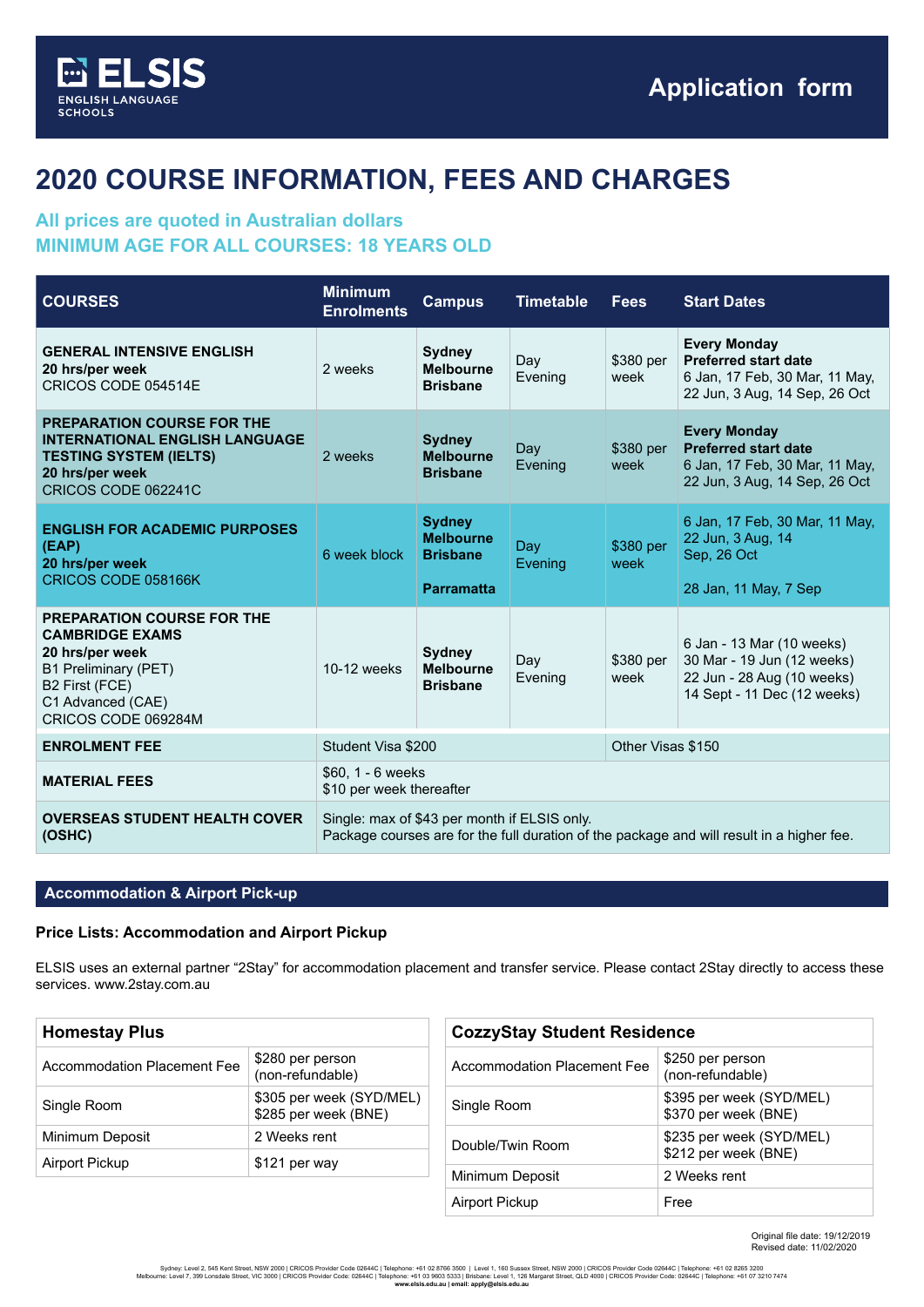

# **2020 COURSE INFORMATION, FEES AND CHARGES**

## **All prices are quoted in Australian dollars MINIMUM AGE FOR ALL COURSES: 18 YEARS OLD**

| <b>COURSES</b>                                                                                                                                                       | <b>Minimum</b><br><b>Enrolments</b>                                                                                                       | <b>Campus</b>                                                             | <b>Timetable</b> | <b>Fees</b>       | <b>Start Dates</b>                                                                                                    |
|----------------------------------------------------------------------------------------------------------------------------------------------------------------------|-------------------------------------------------------------------------------------------------------------------------------------------|---------------------------------------------------------------------------|------------------|-------------------|-----------------------------------------------------------------------------------------------------------------------|
| <b>GENERAL INTENSIVE ENGLISH</b><br>20 hrs/per week<br>CRICOS CODE 054514E                                                                                           | 2 weeks                                                                                                                                   | <b>Sydney</b><br><b>Melbourne</b><br><b>Brisbane</b>                      | Day<br>Evening   | \$380 per<br>week | <b>Every Monday</b><br><b>Preferred start date</b><br>6 Jan, 17 Feb, 30 Mar, 11 May,<br>22 Jun, 3 Aug, 14 Sep, 26 Oct |
| <b>PREPARATION COURSE FOR THE</b><br><b>INTERNATIONAL ENGLISH LANGUAGE</b><br><b>TESTING SYSTEM (IELTS)</b><br>20 hrs/per week<br>CRICOS CODE 062241C                | 2 weeks                                                                                                                                   | <b>Sydney</b><br><b>Melbourne</b><br><b>Brisbane</b>                      | Day<br>Evening   | \$380 per<br>week | <b>Every Monday</b><br><b>Preferred start date</b><br>6 Jan, 17 Feb, 30 Mar, 11 May,<br>22 Jun, 3 Aug, 14 Sep, 26 Oct |
| <b>ENGLISH FOR ACADEMIC PURPOSES</b><br>(EAP)<br>20 hrs/per week<br>CRICOS CODE 058166K                                                                              | 6 week block                                                                                                                              | <b>Sydney</b><br><b>Melbourne</b><br><b>Brisbane</b><br><b>Parramatta</b> | Day<br>Evening   | \$380 per<br>week | 6 Jan, 17 Feb, 30 Mar, 11 May,<br>22 Jun, 3 Aug, 14<br>Sep, 26 Oct<br>28 Jan, 11 May, 7 Sep                           |
| <b>PREPARATION COURSE FOR THE</b><br><b>CAMBRIDGE EXAMS</b><br>20 hrs/per week<br>B1 Preliminary (PET)<br>B2 First (FCE)<br>C1 Advanced (CAE)<br>CRICOS CODE 069284M | $10-12$ weeks                                                                                                                             | <b>Sydney</b><br><b>Melbourne</b><br><b>Brisbane</b>                      | Day<br>Evening   | \$380 per<br>week | 6 Jan - 13 Mar (10 weeks)<br>30 Mar - 19 Jun (12 weeks)<br>22 Jun - 28 Aug (10 weeks)<br>14 Sept - 11 Dec (12 weeks)  |
| <b>ENROLMENT FEE</b>                                                                                                                                                 | Other Visas \$150<br>Student Visa \$200                                                                                                   |                                                                           |                  |                   |                                                                                                                       |
| <b>MATERIAL FEES</b>                                                                                                                                                 | \$60, 1 - 6 weeks<br>\$10 per week thereafter                                                                                             |                                                                           |                  |                   |                                                                                                                       |
| <b>OVERSEAS STUDENT HEALTH COVER</b><br>(OSHC)                                                                                                                       | Single: max of \$43 per month if ELSIS only.<br>Package courses are for the full duration of the package and will result in a higher fee. |                                                                           |                  |                   |                                                                                                                       |

## **Accommodation & Airport Pick-up**

#### **Price Lists: Accommodation and Airport Pickup**

ELSIS uses an external partner "2Stay" for accommodation placement and transfer service. Please contact 2Stay directly to access these services. www.2stay.com.au

| <b>Homestay Plus</b>               |                                                  |  |  |
|------------------------------------|--------------------------------------------------|--|--|
| <b>Accommodation Placement Fee</b> | \$280 per person<br>(non-refundable)             |  |  |
| Single Room                        | \$305 per week (SYD/MEL)<br>\$285 per week (BNE) |  |  |
| Minimum Deposit                    | 2 Weeks rent                                     |  |  |
| <b>Airport Pickup</b>              | \$121 per way                                    |  |  |

| <b>CozzyStay Student Residence</b> |                                                  |  |
|------------------------------------|--------------------------------------------------|--|
| Accommodation Placement Fee        | \$250 per person<br>(non-refundable)             |  |
| Single Room                        | \$395 per week (SYD/MEL)<br>\$370 per week (BNE) |  |
| Double/Twin Room                   | \$235 per week (SYD/MEL)<br>\$212 per week (BNE) |  |
| Minimum Deposit                    | 2 Weeks rent                                     |  |
| Airport Pickup                     | Free                                             |  |

Original file date: 19/12/2019 Revised date: 11/02/2020

Sydney: Level 2, 545 Kent Street, NSW 2000 | CRICOS Provider Code 02644C | Telephone: +61 02 8766 3500 | Level 1, 160 Sussex Street, NSW 2000 | CRICOS Provider Code 02645 2200<br>Melbourne: Level 7, 399 Lonsdale Street, VIC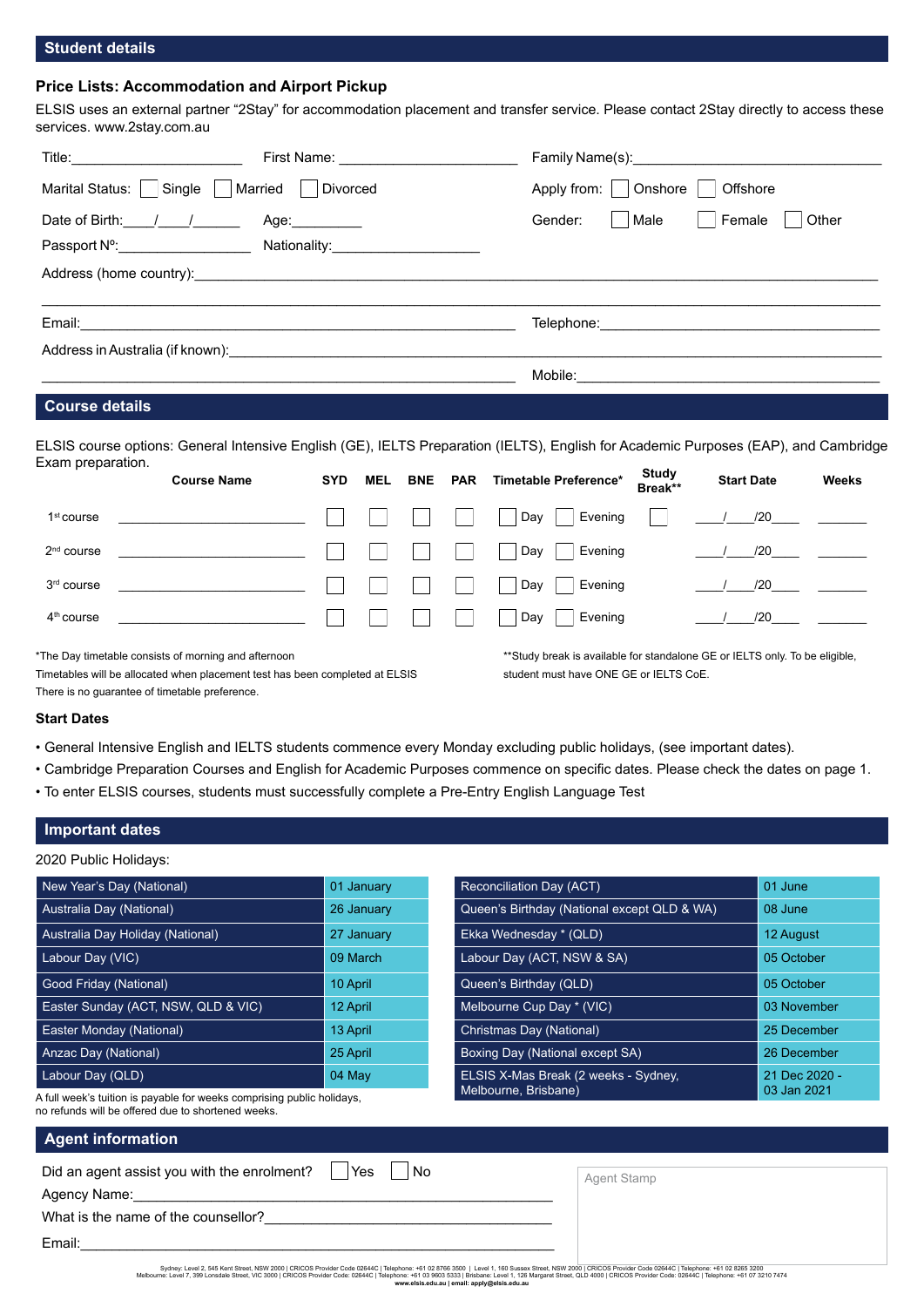## **Student details**

## **Price Lists: Accommodation and Airport Pickup**

ELSIS uses an external partner "2Stay" for accommodation placement and transfer service. Please contact 2Stay directly to access these services. www.2stay.com.au

|                                                  | First Name: <u>________________________</u>            |                                                                                                                 |
|--------------------------------------------------|--------------------------------------------------------|-----------------------------------------------------------------------------------------------------------------|
| $ \mathsf{Single} $<br>Marital Status:           | Married   Divorced                                     | Apply from:     Onshore  <br>Offshore                                                                           |
| Date of Birth: $\frac{1}{\sqrt{2}}$              | Age:__________                                         | Male<br>Female<br>Other<br>Gender:                                                                              |
|                                                  |                                                        |                                                                                                                 |
|                                                  | Address (home country): Manual Address (home country): |                                                                                                                 |
|                                                  |                                                        | Telephone: will be a series of the series of the series of the series of the series of the series of the series |
|                                                  |                                                        |                                                                                                                 |
|                                                  |                                                        |                                                                                                                 |
| $\sim$ $\sim$ $\sim$ $\sim$ $\sim$ $\sim$ $\sim$ |                                                        |                                                                                                                 |

#### **Course details**

ELSIS course options: General Intensive English (GE), IELTS Preparation (IELTS), English for Academic Purposes (EAP), and Cambridge Exam preparation.

|                        | <b>Course Name</b> | <b>SYD</b> | <b>MEL</b> | <b>BNE</b>   | <b>PAR</b>      | Timetable Preference*         | Study<br>Break** | <b>Start Date</b> | <b>Weeks</b>               |
|------------------------|--------------------|------------|------------|--------------|-----------------|-------------------------------|------------------|-------------------|----------------------------|
| 1 <sup>st</sup> course |                    |            |            | $\mathbf{I}$ | <b>Contract</b> | $\blacksquare$ Day<br>Evening |                  |                   | $\frac{120}{}$ $\frac{}{}$ |
| $2nd$ course           |                    |            |            | L.           |                 | Day<br>Evening                |                  | /20               |                            |
| 3rd course             |                    |            |            |              |                 | Day<br>Evening                |                  | /20               |                            |
| $4th$ course           |                    |            |            |              |                 | Day<br>Evening                |                  | /20               |                            |
|                        |                    |            |            |              |                 |                               |                  |                   |                            |

\*The Day timetable consists of morning and afternoon

Timetables will be allocated when placement test has been completed at ELSIS There is no guarantee of timetable preference.

\*\*Study break is available for standalone GE or IELTS only. To be eligible, student must have ONE GE or IELTS CoE.

#### **Start Dates**

• General Intensive English and IELTS students commence every Monday excluding public holidays, (see important dates).

- Cambridge Preparation Courses and English for Academic Purposes commence on specific dates. Please check the dates on page 1.
- To enter ELSIS courses, students must successfully complete a Pre-Entry English Language Test

Email:\_\_\_\_\_\_\_\_\_\_\_\_\_\_\_\_\_\_\_\_\_\_\_\_\_\_\_\_\_\_\_\_\_\_\_\_\_\_\_\_\_\_\_\_\_\_\_\_\_\_\_\_\_\_\_\_\_\_\_\_\_

## **Important dates**

2020 Public Holidays:

| New Year's Day (National)                                                                                                                                           | 01 January | Reconciliation Day (ACT)                    | 01 June       |  |
|---------------------------------------------------------------------------------------------------------------------------------------------------------------------|------------|---------------------------------------------|---------------|--|
| Australia Day (National)                                                                                                                                            | 26 January | Queen's Birthday (National except QLD & WA) | 08 June       |  |
| Australia Day Holiday (National)                                                                                                                                    | 27 January | Ekka Wednesday * (QLD)                      | 12 August     |  |
| Labour Day (VIC)                                                                                                                                                    | 09 March   | Labour Day (ACT, NSW & SA)                  | 05 October    |  |
| <b>Good Friday (National)</b>                                                                                                                                       | 10 April   | Queen's Birthday (QLD)                      | 05 October    |  |
| Easter Sunday (ACT, NSW, QLD & VIC)                                                                                                                                 | 12 April   | Melbourne Cup Day * (VIC)                   | 03 November   |  |
| <b>Easter Monday (National)</b>                                                                                                                                     | 13 April   | Christmas Day (National)                    | 25 December   |  |
| Anzac Day (National)                                                                                                                                                | 25 April   | Boxing Day (National except SA)             | 26 December   |  |
| Labour Day (QLD)                                                                                                                                                    | 04 May     | ELSIS X-Mas Break (2 weeks - Sydney,        | 21 Dec 2020 - |  |
| Melbourne, Brisbane)<br>03 Jan 2021<br>A full week's tuition is payable for weeks comprising public holidays,<br>no refunds will be offered due to shortened weeks. |            |                                             |               |  |
| <b>Agent information</b>                                                                                                                                            |            |                                             |               |  |
| Did an agent assist you with the enrolment?<br>Yes<br>No.<br><b>Agent Stamp</b><br>Agency Name:<br>What is the name of the counsellor?                              |            |                                             |               |  |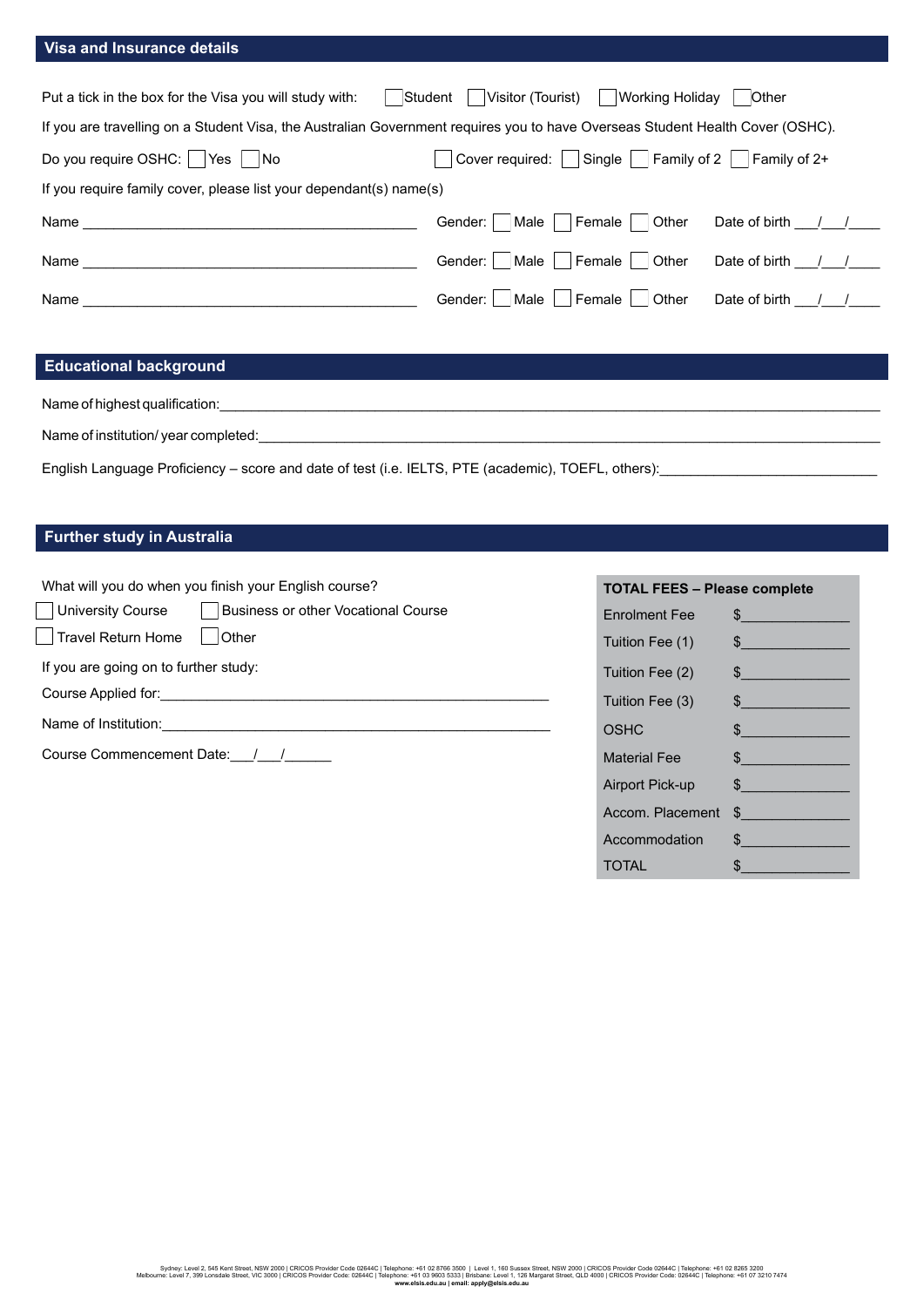## **Visa and Insurance details**

| Student<br>Put a tick in the box for the Visa you will study with:                                                            | Visitor (Tourist)<br>Working Holidav              | Other                                    |  |  |
|-------------------------------------------------------------------------------------------------------------------------------|---------------------------------------------------|------------------------------------------|--|--|
| If you are travelling on a Student Visa, the Australian Government requires you to have Overseas Student Health Cover (OSHC). |                                                   |                                          |  |  |
| Do you require OSHC:     Yes     No                                                                                           | $ $ Single $ $<br>Cover required:                 | $\vert$ Family of 2 $\vert$ Family of 2+ |  |  |
| If you require family cover, please list your dependant(s) name(s)                                                            |                                                   |                                          |  |  |
| Name                                                                                                                          | ∣ Female<br>Other<br> Male  <br>Gender:           | Date of birth /                          |  |  |
| Name                                                                                                                          | Male   Female  <br>Other<br>Gender:               | Date of birth                            |  |  |
| Name                                                                                                                          | $\blacksquare$ Female<br>Male<br>Other<br>Gender: | Date of birth /                          |  |  |
|                                                                                                                               |                                                   |                                          |  |  |
| <b>Educational background</b>                                                                                                 |                                                   |                                          |  |  |

Name of highest qualification:

Name of institution/ year completed:

English Language Proficiency – score and date of test (i.e. IELTS, PTE (academic), TOEFL, others):

## **Further study in Australia**

What will you do when you finish your English course?

| University Course                     | Business or other Vocational Course |
|---------------------------------------|-------------------------------------|
| Travel Return Home                    | <b>Other</b>                        |
| If you are going on to further study: |                                     |
| Course Applied for:                   |                                     |
| Name of Institution:                  |                                     |
|                                       |                                     |

Course Commencement Date: 11

| <b>TOTAL FEES - Please complete</b> |               |  |
|-------------------------------------|---------------|--|
| <b>F</b> nrolment Fee               | $\frac{1}{2}$ |  |
| Tuition Fee (1)                     | $\frac{1}{2}$ |  |
| Tuition Fee (2)                     | $\frac{1}{2}$ |  |
| Tuition Fee (3)                     | $\frac{1}{2}$ |  |
| OSHC                                | $\frac{1}{2}$ |  |
| <b>Material Fee</b>                 | $\frac{1}{2}$ |  |
| Airport Pick-up                     | $\frac{1}{2}$ |  |
| Accom. Placement                    | $\frac{1}{2}$ |  |
| Accommodation                       | $\sim$        |  |
| <b>TOTAL</b>                        | \$            |  |